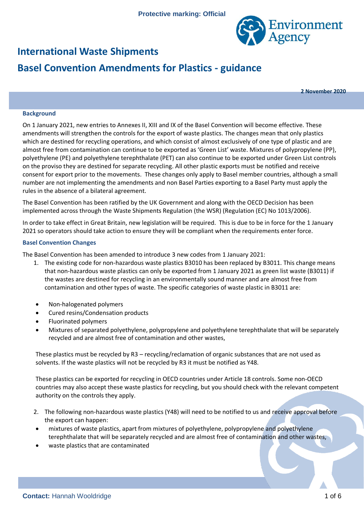

## **International Waste Shipments**

# **Basel Convention Amendments for Plastics - guidance**

**2 November 2020**

#### **Background**

On 1 January 2021, new entries to Annexes II, XIII and IX of the Basel Convention will become effective. These amendments will strengthen the controls for the export of waste plastics. The changes mean that only plastics which are destined for recycling operations, and which consist of almost exclusively of one type of plastic and are almost free from contamination can continue to be exported as 'Green List' waste. Mixtures of polypropylene (PP), polyethylene (PE) and polyethylene terephthalate (PET) can also continue to be exported under Green List controls on the proviso they are destined for separate recycling. All other plastic exports must be notified and receive consent for export prior to the movements. These changes only apply to Basel member countries, although a small number are not implementing the amendments and non Basel Parties exporting to a Basel Party must apply the rules in the absence of a bilateral agreement.

The Basel Convention has been ratified by the UK Government and along with the OECD Decision has been implemented across through the Waste Shipments Regulation (the WSR) (Regulation (EC) No 1013/2006).

In order to take effect in Great Britain, new legislation will be required. This is due to be in force for the 1 January 2021 so operators should take action to ensure they will be compliant when the requirements enter force.

#### **Basel Convention Changes**

The Basel Convention has been amended to introduce 3 new codes from 1 January 2021:

- 1. The existing code for non-hazardous waste plastics B3010 has been replaced by B3011. This change means that non-hazardous waste plastics can only be exported from 1 January 2021 as green list waste (B3011) if the wastes are destined for recycling in an environmentally sound manner and are almost free from contamination and other types of waste. The specific categories of waste plastic in B3011 are:
- Non-halogenated polymers
- Cured resins/Condensation products
- Fluorinated polymers
- Mixtures of separated polyethylene, polypropylene and polyethylene terephthalate that will be separately recycled and are almost free of contamination and other wastes,

These plastics must be recycled by R3 – recycling/reclamation of organic substances that are not used as solvents. If the waste plastics will not be recycled by R3 it must be notified as Y48.

These plastics can be exported for recycling in OECD countries under Article 18 controls. Some non-OECD countries may also accept these waste plastics for recycling, but you should check with the relevant competent authority on the controls they apply.

- 2. The following non-hazardous waste plastics (Y48) will need to be notified to us and receive approval before the export can happen:
- mixtures of waste plastics, apart from mixtures of polyethylene, polypropylene and polyethylene terephthalate that will be separately recycled and are almost free of contamination and other wastes,
- waste plastics that are contaminated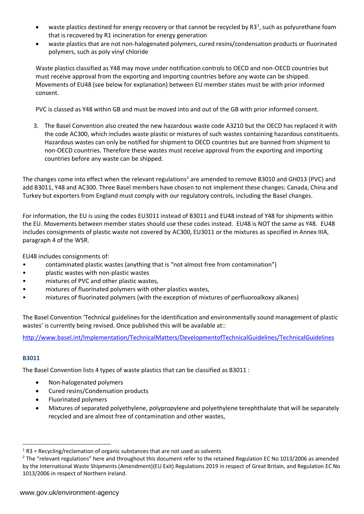- waste plastics destined for energy recovery or that cannot be recycled by R3<sup>1</sup>, such as polyurethane foam that is recovered by R1 incineration for energy generation
- waste plastics that are not non-halogenated polymers, cured resins/condensation products or fluorinated polymers, such as poly vinyl chloride

Waste plastics classified as Y48 may move under notification controls to OECD and non-OECD countries but must receive approval from the exporting and importing countries before any waste can be shipped. Movements of EU48 (see below for explanation) between EU member states must be with prior informed consent.

PVC is classed as Y48 within GB and must be moved into and out of the GB with prior informed consent.

3. The Basel Convention also created the new hazardous waste code A3210 but the OECD has replaced it with the code AC300, which includes waste plastic or mixtures of such wastes containing hazardous constituents. Hazardous wastes can only be notified for shipment to OECD countries but are banned from shipment to non-OECD countries. Therefore these wastes must receive approval from the exporting and importing countries before any waste can be shipped.

The changes come into effect when the relevant regulations<sup>2</sup> are amended to remove B3010 and GH013 (PVC) and add B3011, Y48 and AC300. Three Basel members have chosen to not implement these changes: Canada, China and Turkey but exporters from England must comply with our regulatory controls, including the Basel changes.

For information, the EU is using the codes EU3011 instead of B3011 and EU48 instead of Y48 for shipments within the EU. Movements between member states should use these codes instead. EU48 is NOT the same as Y48. EU48 includes consignments of plastic waste not covered by AC300, EU3011 or the mixtures as specified in Annex IIIA, paragraph 4 of the WSR.

EU48 includes consignments of:

- contaminated plastic wastes (anything that is "not almost free from contamination")
- plastic wastes with non-plastic wastes
- mixtures of PVC and other plastic wastes,
- mixtures of fluorinated polymers with other plastics wastes,
- mixtures of fluorinated polymers (with the exception of mixtures of perfluoroalkoxy alkanes)

The Basel Convention 'Technical guidelines for the identification and environmentally sound management of plastic wastes' is currently being revised. Once published this will be available at::

<http://www.basel.int/Implementation/TechnicalMatters/DevelopmentofTechnicalGuidelines/TechnicalGuidelines>

#### **B3011**

 $\overline{a}$ 

The Basel Convention lists 4 types of waste plastics that can be classified as B3011 :

- Non-halogenated polymers
- Cured resins/Condensation products
- Fluorinated polymers
- Mixtures of separated polyethylene, polypropylene and polyethylene terephthalate that will be separately recycled and are almost free of contamination and other wastes,

 $1$  R3 = Recycling/reclamation of organic substances that are not used as solvents

<sup>&</sup>lt;sup>2</sup> The "relevant regulations" here and throughout this document refer to the retained Regulation EC No 1013/2006 as amended by the International Waste Shipments (Amendment)(EU Exit) Regulations 2019 in respect of Great Britain, and Regulation EC No 1013/2006 in respect of Northern Ireland.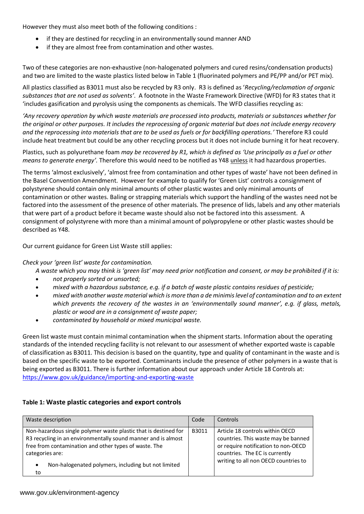However they must also meet both of the following conditions :

- if they are destined for recycling in an environmentally sound manner AND
- if they are almost free from contamination and other wastes.

Two of these categories are non-exhaustive (non-halogenated polymers and cured resins/condensation products) and two are limited to the waste plastics listed below in Table 1 (fluorinated polymers and PE/PP and/or PET mix).

All plastics classified as B3011 must also be recycled by R3 only. R3 is defined as '*Recycling/reclamation of organic substances that are not used as solvents'*. A footnote in the Waste Framework Directive (WFD) for R3 states that it 'includes gasification and pyrolysis using the components as chemicals. The WFD classifies recycling as:

*'Any recovery operation by which waste materials are processed into products, materials or substances whether for the original or other purposes. It includes the reprocessing of organic material but does not include energy recovery and the reprocessing into materials that are to be used as fuels or for backfilling operations.'* Therefore R3 could include heat treatment but could be any other recycling process but it does not include burning it for heat recovery.

Plastics, such as polyurethane foam *may be recovered by R1, which is defined as 'Use principally as a fuel or other means to generate energy'.* Therefore this would need to be notified as Y48 unless it had hazardous properties.

The terms 'almost exclusively', 'almost free from contamination and other types of waste' have not been defined in the Basel Convention Amendment. However for example to qualify for 'Green List' controls a consignment of polystyrene should contain only minimal amounts of other plastic wastes and only minimal amounts of contamination or other wastes. Baling or strapping materials which support the handling of the wastes need not be factored into the assessment of the presence of other materials. The presence of lids, labels and any other materials that were part of a product before it became waste should also not be factored into this assessment. A consignment of polystyrene with more than a minimal amount of polypropylene or other plastic wastes should be described as Y48.

Our current guidance for Green List Waste still applies:

## *Check your 'green list' waste for contamination.*

*A waste which you may think is 'green list' may need prior notification and consent, or may be prohibited if it is:*

- *not properly sorted or unsorted;*
- *mixed with a hazardous substance, e.g. if a batch of waste plastic contains residues of pesticide;*
- *mixed with another waste material which is more than a de minimis level of contamination and to an extent which prevents the recovery of the wastes in an 'environmentally sound manner', e.g. if glass, metals, plastic or wood are in a consignment of waste paper;*
- *contaminated by household or mixed municipal waste.*

Green list waste must contain minimal contamination when the shipment starts. Information about the operating standards of the intended recycling facility is not relevant to our assessment of whether exported waste is capable of classification as B3011. This decision is based on the quantity, type and quality of contaminant in the waste and is based on the specific waste to be exported. Contaminants include the presence of other polymers in a waste that is being exported as B3011. There is further information about our approach under Article 18 Controls at: <https://www.gov.uk/guidance/importing-and-exporting-waste>

## **Table 1: Waste plastic categories and export controls**

| Waste description                                                                                                                                                                                                                                                         | Code  | Controls                                                                                                                                                                                |
|---------------------------------------------------------------------------------------------------------------------------------------------------------------------------------------------------------------------------------------------------------------------------|-------|-----------------------------------------------------------------------------------------------------------------------------------------------------------------------------------------|
| Non-hazardous single polymer waste plastic that is destined for<br>R3 recycling in an environmentally sound manner and is almost<br>free from contamination and other types of waste. The<br>categories are:<br>Non-halogenated polymers, including but not limited<br>to | B3011 | Article 18 controls within OECD<br>countries. This waste may be banned<br>or require notification to non-OECD<br>countries. The EC is currently<br>writing to all non OECD countries to |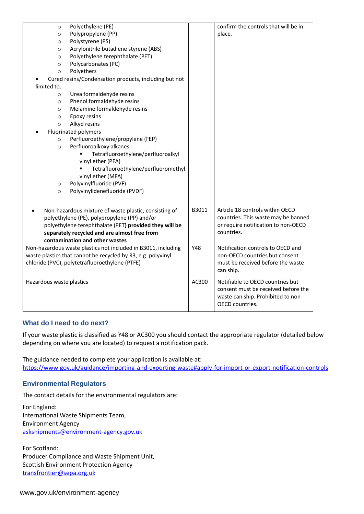| Polyethylene (PE)<br>$\circ$<br>Polypropylene (PP)<br>$\circ$<br>Polystyrene (PS)<br>$\circ$<br>Acrylonitrile butadiene styrene (ABS)<br>$\circ$<br>Polyethylene terephthalate (PET)<br>$\circ$                                                                                                                                                                                                                                                                                                                            |       | confirm the controls that will be in<br>place.                                                                                          |
|----------------------------------------------------------------------------------------------------------------------------------------------------------------------------------------------------------------------------------------------------------------------------------------------------------------------------------------------------------------------------------------------------------------------------------------------------------------------------------------------------------------------------|-------|-----------------------------------------------------------------------------------------------------------------------------------------|
| Polycarbonates (PC)<br>$\circ$<br>Polyethers<br>$\circ$<br>Cured resins/Condensation products, including but not                                                                                                                                                                                                                                                                                                                                                                                                           |       |                                                                                                                                         |
| limited to:<br>Urea formaldehyde resins<br>$\circ$<br>Phenol formaldehyde resins<br>$\circ$<br>Melamine formaldehyde resins<br>$\circ$<br>Epoxy resins<br>$\circ$<br>Alkyd resins<br>$\circ$<br><b>Fluorinated polymers</b><br>Perfluoroethylene/propylene (FEP)<br>$\circ$<br>Perfluoroalkoxy alkanes<br>$\circ$<br>Tetrafluoroethylene/perfluoroalkyl<br>vinyl ether (PFA)<br>Tetrafluoroethylene/perfluoromethyl<br>vinyl ether (MFA)<br>Polyvinylfluoride (PVF)<br>$\circ$<br>Polyvinylidenefluoride (PVDF)<br>$\circ$ |       |                                                                                                                                         |
| Non-hazardous mixture of waste plastic, consisting of<br>$\bullet$<br>polyethylene (PE), polypropylene (PP) and/or<br>polyethylene terephthalate (PET) provided they will be<br>separately recycled and are almost free from<br>contamination and other wastes                                                                                                                                                                                                                                                             | B3011 | Article 18 controls within OECD<br>countries. This waste may be banned<br>or require notification to non-OECD<br>countries.             |
| Non-hazardous waste plastics not included in B3011, including<br>waste plastics that cannot be recycled by R3, e.g. polyvinyl<br>chloride (PVC), polytetrafluoroethylene (PTFE)                                                                                                                                                                                                                                                                                                                                            | Y48   | Notification controls to OECD and<br>non-OECD countries but consent<br>must be received before the waste<br>can ship.                   |
| Hazardous waste plastics                                                                                                                                                                                                                                                                                                                                                                                                                                                                                                   | AC300 | Notifiable to OECD countries but<br>consent must be received before the<br>waste can ship. Prohibited to non-<br><b>OECD</b> countries. |

## **What do I need to do next?**

If your waste plastic is classified as Y48 or AC300 you should contact the appropriate regulator (detailed below depending on where you are located) to request a notification pack.

The guidance needed to complete your application is available at: <https://www.gov.uk/guidance/importing-and-exporting-waste#apply-for-import-or-export-notification-controls>

## **Environmental Regulators**

The contact details for the environmental regulators are:

For England: International Waste Shipments Team, Environment Agency [askshipments@environment-agency.gov.uk](mailto:askshipments@environment-agency.gov.uk)

For Scotland: Producer Compliance and Waste Shipment Unit, Scottish Environment Protection Agency [transfrontier@sepa.org.uk](mailto:transfrontier@sepa.org.uk)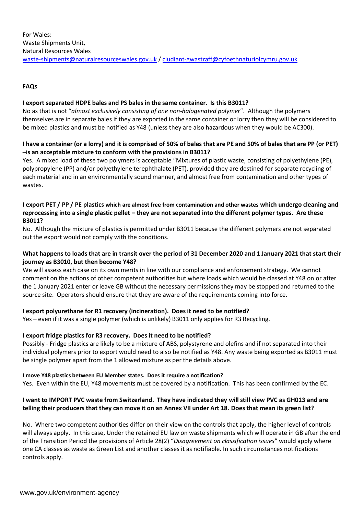## **FAQs**

#### **I export separated HDPE bales and PS bales in the same container. Is this B3011?**

No as that is not "*almost exclusively consisting of one non-halogenated polymer*". Although the polymers themselves are in separate bales if they are exported in the same container or lorry then they will be considered to be mixed plastics and must be notified as Y48 (unless they are also hazardous when they would be AC300).

## **I have a container (or a lorry) and it is comprised of 50% of bales that are PE and 50% of bales that are PP (or PET) –is an acceptable mixture to conform with the provisions in B3011?**

Yes. A mixed load of these two polymers is acceptable "Mixtures of plastic waste, consisting of polyethylene (PE), polypropylene (PP) and/or polyethylene terephthalate (PET), provided they are destined for separate recycling of each material and in an environmentally sound manner, and almost free from contamination and other types of wastes.

#### **I export PET / PP / PE plastics which are almost free from contamination and other wastes which undergo cleaning and reprocessing into a single plastic pellet – they are not separated into the different polymer types. Are these B3011?**

No. Although the mixture of plastics is permitted under B3011 because the different polymers are not separated out the export would not comply with the conditions.

## **What happens to loads that are in transit over the period of 31 December 2020 and 1 January 2021 that start their journey as B3010, but then become Y48?**

We will assess each case on its own merits in line with our compliance and enforcement strategy. We cannot comment on the actions of other competent authorities but where loads which would be classed at Y48 on or after the 1 January 2021 enter or leave GB without the necessary permissions they may be stopped and returned to the source site. Operators should ensure that they are aware of the requirements coming into force.

## **I export polyurethane for R1 recovery (incineration). Does it need to be notified?**

Yes – even if it was a single polymer (which is unlikely) B3011 only applies for R3 Recycling.

## **I export fridge plastics for R3 recovery. Does it need to be notified?**

Possibly - Fridge plastics are likely to be a mixture of ABS, polystyrene and olefins and if not separated into their individual polymers prior to export would need to also be notified as Y48. Any waste being exported as B3011 must be single polymer apart from the 1 allowed mixture as per the details above.

#### **I move Y48 plastics between EU Member states. Does it require a notification?**

Yes. Even within the EU, Y48 movements must be covered by a notification. This has been confirmed by the EC.

## **I want to IMPORT PVC waste from Switzerland. They have indicated they will still view PVC as GH013 and are telling their producers that they can move it on an Annex VII under Art 18. Does that mean its green list?**

No. Where two competent authorities differ on their view on the controls that apply, the higher level of controls will always apply. In this case, Under the retained EU law on waste shipments which will operate in GB after the end of the Transition Period the provisions of Article 28(2) "*Disagreement on classification issues*" would apply where one CA classes as waste as Green List and another classes it as notifiable. In such circumstances notifications controls apply.